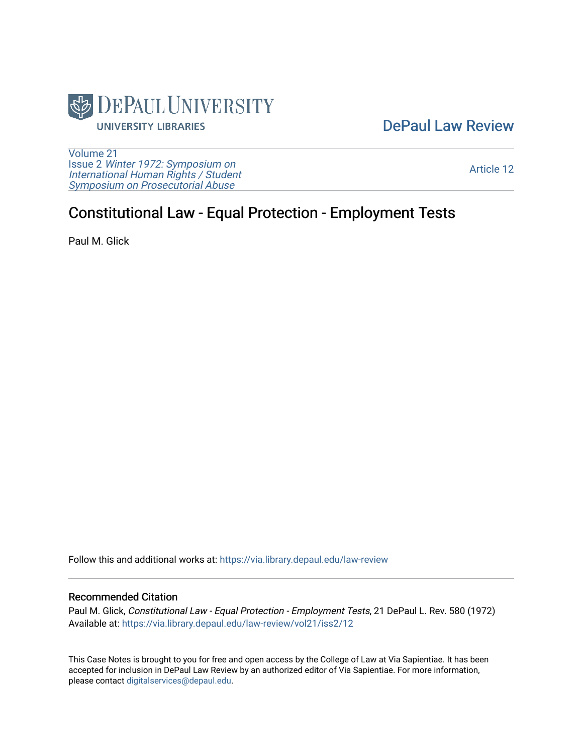

## [DePaul Law Review](https://via.library.depaul.edu/law-review)

[Volume 21](https://via.library.depaul.edu/law-review/vol21) Issue 2 [Winter 1972: Symposium on](https://via.library.depaul.edu/law-review/vol21/iss2) [International Human Rights / Student](https://via.library.depaul.edu/law-review/vol21/iss2) [Symposium on Prosecutorial Abuse](https://via.library.depaul.edu/law-review/vol21/iss2)

[Article 12](https://via.library.depaul.edu/law-review/vol21/iss2/12) 

# Constitutional Law - Equal Protection - Employment Tests

Paul M. Glick

Follow this and additional works at: [https://via.library.depaul.edu/law-review](https://via.library.depaul.edu/law-review?utm_source=via.library.depaul.edu%2Flaw-review%2Fvol21%2Fiss2%2F12&utm_medium=PDF&utm_campaign=PDFCoverPages) 

#### Recommended Citation

Paul M. Glick, Constitutional Law - Equal Protection - Employment Tests, 21 DePaul L. Rev. 580 (1972) Available at: [https://via.library.depaul.edu/law-review/vol21/iss2/12](https://via.library.depaul.edu/law-review/vol21/iss2/12?utm_source=via.library.depaul.edu%2Flaw-review%2Fvol21%2Fiss2%2F12&utm_medium=PDF&utm_campaign=PDFCoverPages)

This Case Notes is brought to you for free and open access by the College of Law at Via Sapientiae. It has been accepted for inclusion in DePaul Law Review by an authorized editor of Via Sapientiae. For more information, please contact [digitalservices@depaul.edu.](mailto:digitalservices@depaul.edu)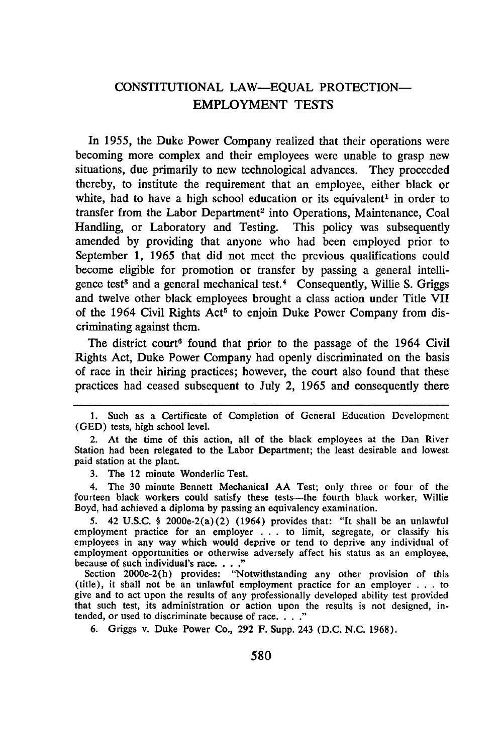### CONSTITUTIONAL **LAW-EQUAL** PROTECTION-EMPLOYMENT TESTS

In 1955, the Duke Power Company realized that their operations were becoming more complex and their employees were unable to grasp new situations, due primarily to new technological advances. They proceeded thereby, to institute the requirement that an employee, either black or white, had to have a high school education or its equivalent<sup>1</sup> in order to transfer from the Labor Department<sup>2</sup> into Operations, Maintenance, Coal Handling, or Laboratory and Testing. This policy was subsequently amended by providing that anyone who had been employed prior to September 1, 1965 that did not meet the previous qualifications could become eligible for promotion or transfer by passing a general intelligence test<sup>3</sup> and a general mechanical test.<sup>4</sup> Consequently, Willie S. Griggs and twelve other black employees brought a class action under Title VII of the 1964 Civil Rights Act<sup>5</sup> to enjoin Duke Power Company from discriminating against them.

The district court<sup>6</sup> found that prior to the passage of the 1964 Civil Rights Act, Duke Power Company had openly discriminated on the basis of race in their hiring practices; however, the court also found that these practices had ceased subsequent to July 2, 1965 and consequently there

3. The 12 minute Wonderlic Test.

4. The 30 minute Bennett Mechanical **AA** Test; only three or four of the fourteen black workers could satisfy these tests--- the fourth black worker, Willie Boyd, had achieved a diploma by passing an equivalency examination.

5. 42 U.S.C. § 2000e-2(a)(2) (1964) provides that: "It shall be an unlawful employment practice for an employer . **.** . to limit, segregate, or classify his employees in any way which would deprive or tend to deprive any individual of employment opportunities or otherwise adversely affect his status as an employee, because of such individual's race. . **....**

Section 2000e-2(h) provides: "Notwithstanding any other provision of this (title), it shall not be an unlawful employment practice for an employer . . . to give and to act upon the results of any professionally developed ability test provided that such test, its administration or action upon the results is not designed, intended, or used to discriminate because of race **.. "**

6. Griggs v. Duke Power Co., 292 F. Supp. 243 (D.C. N.C. 1968).

<sup>1.</sup> Such as a Certificate of Completion of General Education Development (GED) tests, high school level.

<sup>2.</sup> At the time of this action, all of the black employees at the Dan River Station had been relegated to the Labor Department; the least desirable and lowest paid station at the plant.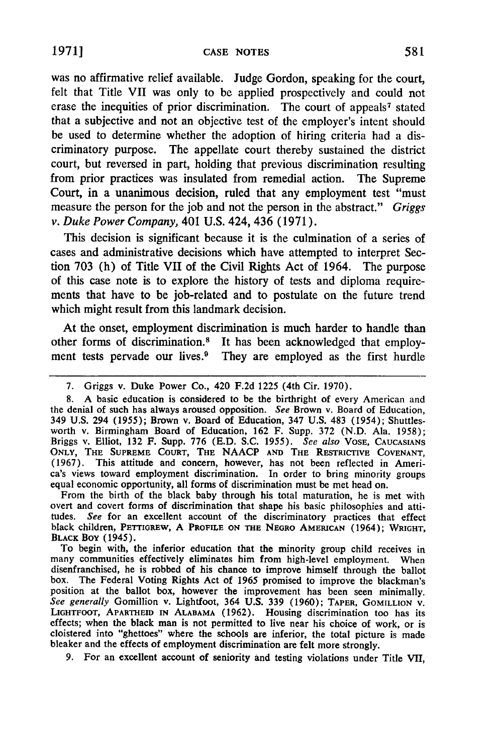**1971]**

was no affirmative relief available. Judge Gordon, speaking for the court, felt that Title VII was only to **be** applied prospectively and could not erase the inequities of prior discrimination. The court of appeals<sup>7</sup> stated that a subjective and not an objective test of the employer's intent should be used to determine whether the adoption of hiring criteria had a discriminatory purpose. The appellate court thereby sustained the district court, but reversed in part, holding that previous discrimination resulting from prior practices was insulated from remedial action. The Supreme Court, in a unanimous decision, ruled that any employment test "must measure the person for the **job** and not the person in the abstract." *Griggs v.* Duke Power *Company,* 401 U.S. 424, 436 (1971).

This decision is significant because it is the culmination of a series of cases and administrative decisions which have attempted to interpret Section 703 (h) of Title VII of the Civil Rights Act of 1964. The purpose of this case note is to explore the history of tests and diploma requirements that have to be job-related and to postulate on the future trend which might result from this landmark decision.

At the onset, employment discrimination is much harder to handle than other forms of discrimination.8 It has been acknowledged that employment tests pervade our lives.<sup>9</sup> They are employed as the first hurdle

8. A basic education is considered to be the birthright of every American and the denial of such has always aroused opposition. *See* Brown v. Board of Education, 349 U.S. 294 (1955); Brown v. Board of Education, 347 U.S. 483 (1954); Shuttlesworth v. Birmingham Board of Education, 162 F. Supp. 372 (N.D. Ala. 1958); Briggs v. Elliot, 132 F. Supp. 776 (E.D. S.C. *1955). See also* VOSE, **CAUCASIANS ONLY, THE SUPREME COURT, THE NAACP AND THE RESTRICTIVE COVENANT,** (1967). This attitude and concern, however, has not been reflected in America's views toward employment discrimination. In order to bring minority groups equal economic opportunity, all forms of discrimination must be met head on. From the birth of the black baby through his total maturation, he is met with

overt and covert forms of discrimination that shape his basic philosophies and attitudes. *See* for an excellent account of the discriminatory practices that effect black children, PETTIGREW, A **PROFILE ON THE NEGRO** AMERICAN (1964); **WRIGHT, BLACK Boy** (1945).

To begin with, the inferior education that the minority group child receives in many communities effectively eliminates him from high-level employment. Wher disenfranchised, he is robbed of his chance to improve himself through the ballot box. The Federal Voting Rights Act of 1965 promised to improve the blackman's position at the ballot box, however the improvement has been seen minimally. *See generally* Gomillion v. Lightfoot, 364 **U.S. 339** (1960); TAPER, **GoMILLION** V. LIGHTFOOT, APARTHEID **IN ALABAMA** (1962). Housing discrimination too has its effects; when the black man is not permitted to live near his choice of work, or is cloistered into "ghettoes" where the schools are inferior, the total picture is made bleaker and the effects of employment discrimination are felt more strongly.

**9.** For an excellent account of seniority and testing violations under Title VII,

<sup>7.</sup> Griggs v. Duke Power Co., 420 F.2d 1225 (4th Cir. 1970).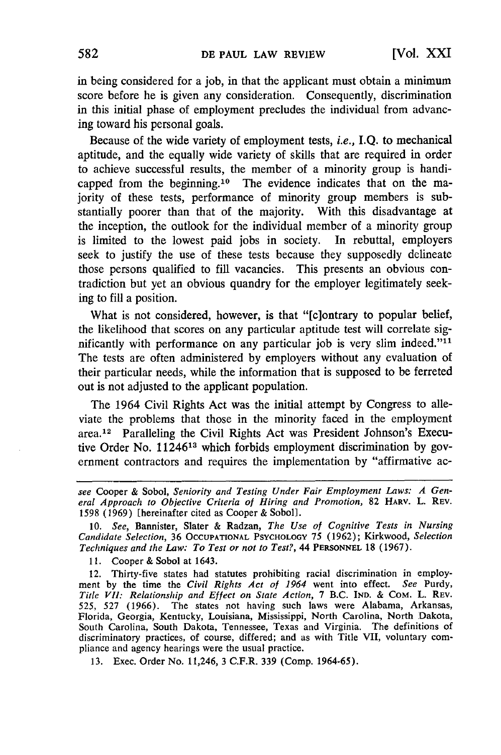in being considered for a job, in that the applicant must obtain a minimum score before he is given any consideration. Consequently, discrimination in this initial phase of employment precludes the individual from advancing toward his personal goals.

Because of the wide variety of employment tests, *i.e.,* **I.Q.** to mechanical aptitude, and the equally wide variety of skills that are required in order to achieve successful results, the member of a minority group is handicapped from the beginning.<sup>10</sup> The evidence indicates that on the majority of these tests, performance of minority group members is substantially poorer than that of the majority. With this disadvantage at the inception, the outlook for the individual member of a minority group is limited to the lowest paid jobs in society. In rebuttal, employers seek to justify the use of these tests because they supposedly delineate those persons qualified to fill vacancies. This presents an obvious contradiction but yet an obvious quandry for the employer legitimately seeking to fill a position.

What is not considered, however, is that "[c]ontrary to popular belief, the likelihood that scores on any particular aptitude test will correlate significantly with performance on any particular job is very slim indeed." $11$ The tests are often administered by employers without any evaluation of their particular needs, while the information that is supposed to be ferreted out is not adjusted to the applicant population.

The 1964 Civil Rights Act was the initial attempt by Congress to alleviate the problems that those in the minority faced in the employment area. 12 Paralleling the Civil Rights Act was President Johnson's Executive Order No. 11246<sup>13</sup> which forbids employment discrimination by government contractors and requires the implementation by "affirmative ac-

10. *See,* Bannister, Slater & Radzan, *The Use of Cognitive Tests in Nursing Candidate Selection,* 36 **OCCUPATIONAL** PSYCHOLOGY 75 (1962); Kirkwood, *Selection Techniques and the Law: To Test or not to Test?,* 44 **PERSONNEL** 18 (1967).

11. Cooper **&** Sobol at 1643.

12. Thirty-five states had statutes prohibiting racial discrimination in employment by the time the *Civil Rights Act of 1964* went into effect. *See* Purdy, *Title VII: Relationship and Effect on State Action,* 7 B.C. **IND.** & COM. L. REV. 525, 527 (1966). The states not having such laws were Alabama, Arkansas, Florida, Georgia, Kentucky, Louisiana, Mississippi, North Carolina, North Dakota, South Carolina, South Dakota, Tennessee, Texas and Virginia. The definitions of discriminatory practices, of course, differed; and as with Title VII, voluntary compliance and agency hearings were the usual practice.

13. Exec. Order No. 11,246, 3 C.F.R. 339 (Comp. 1964-65).

*see* Cooper & Sobol, *Seniority and Testing Under Fair Employment Laws: A General Approach to Objective Criteria of Hiring and Promotion,* 82 HARV. L. REV. 1598 (1969) [hereinafter cited as Cooper & Soboll.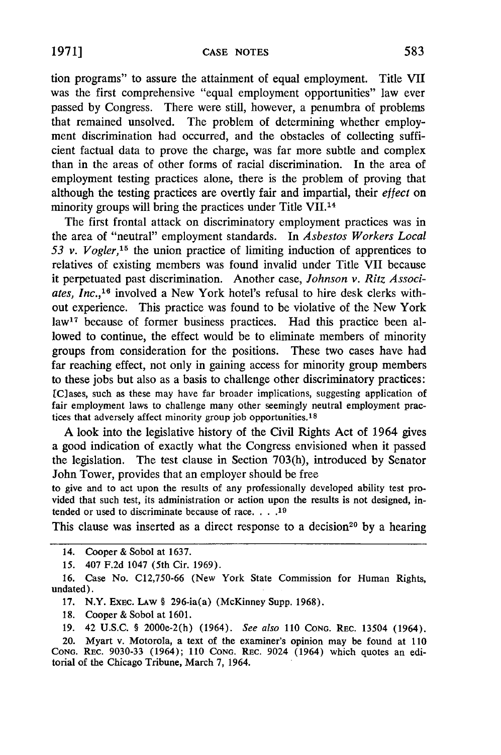tion programs" to assure the attainment of equal employment. Title VII was the first comprehensive "equal employment opportunities" law ever passed by Congress. There were still, however, a penumbra of problems that remained unsolved. The problem of determining whether employment discrimination had occurred, and the obstacles of collecting sufficient factual data to prove the charge, was far more subtle and complex than in the areas of other forms of racial discrimination. In the area of employment testing practices alone, there is the problem of proving that although the testing practices are overtly fair and impartial, their *effect* on minority groups will bring the practices under Title VII.14

The first frontal attack on discriminatory employment practices was in the area of "neutral" employment standards. In *Asbestos Workers Local 53 v. Vogler,15* the union practice of limiting induction of apprentices to relatives of existing members was found invalid under Title VII because it perpetuated past discrimination. Another case, *Johnson v. Ritz Associates, Inc.,'<sup>6</sup>*involved a New York hotel's refusal to hire desk clerks without experience. This practice was found to be violative of the New York law<sup>17</sup> because of former business practices. Had this practice been allowed to continue, the effect would be to eliminate members of minority groups from consideration for the positions. These two cases have had far reaching effect, not only in gaining access for minority group members to these jobs but also as a basis to challenge other discriminatory practices: [C]ases, such as these may have far broader implications, suggesting application of fair employment laws to challenge many other seemingly neutral employment practices that adversely affect minority group job opportunities, **s**

A look into the legislative history of the Civil Rights Act of 1964 gives a good indication of exactly what the Congress envisioned when it passed the legislation. The test clause in Section 703(h), introduced **by** Senator John Tower, provides that an employer should be free

to give and to act upon the results of any professionally developed ability test provided that such test, its administration or action upon the results is not designed, intended or used to discriminate because of race. **.... 19**

This clause was inserted as a direct response to a decision<sup>20</sup> by a hearing

**17.** N.Y. EXEC. LAW § 296-ia(a) (McKinney Supp. 1968).

**18.** Cooper & Sobol at 1601.

19. 42 U.S.C. § 2000e-2(h) (1964). *See also* 110 **CONG.** REC. 13504 (1964).

20. Myart v. Motorola, a text of the examiner's opinion may be found at 110 **CONG.** REC. 9030-33 (1964); 110 **CONG.** REc. 9024 (1964) which quotes an editorial of the Chicago Tribune, March **7,** 1964.

<sup>14.</sup> Cooper & Sobol at **1637.**

**<sup>15.</sup>** 407 **F.2d** 1047 (5th Cir. 1969).

**<sup>16.</sup>** Case No. C12,750-66 (New York State Commission for Human Rights, undated).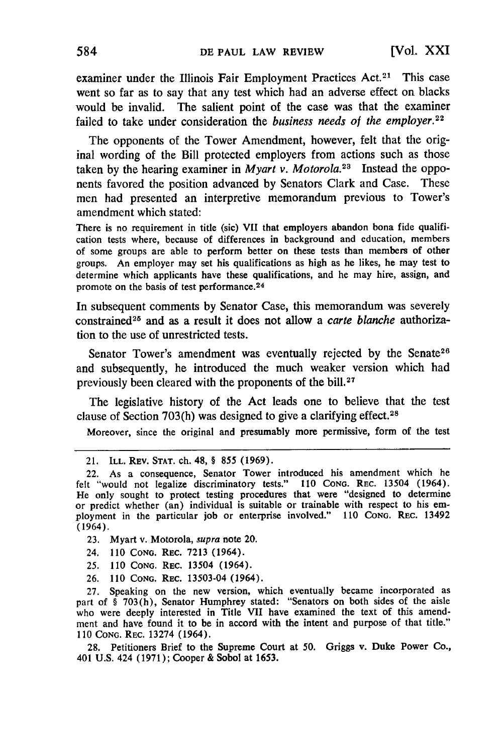examiner under the Illinois Fair Employment Practices Act.<sup>21</sup> This case went so far as to say that any test which had an adverse effect on blacks would be invalid. The salient point of the case was that the examiner failed to take under consideration the *business needs of the employer.<sup>22</sup>*

The opponents of the Tower Amendment, however, felt that the original wording of the Bill protected employers from actions such as those taken by the hearing examiner in *Myart v. Motorola*.<sup>23</sup> Instead the opponents favored the position advanced by Senators Clark and Case. These men had presented an interpretive memorandum previous to Tower's amendment which stated:

There is no requirement in title (sic) VII that employers abandon bona fide qualification tests where, because of differences in background and education, members of some groups are able to perform better on these tests than members of other groups. An employer may set his qualifications as high as he likes, he may test to determine which applicants have these qualifications, and he may hire, assign, and promote on the basis of test performance. <sup>24</sup>

In subsequent comments by Senator Case, this memorandum was severely constrained 25 and as a result it does not allow a *carte blanche* authorization to the use of unrestricted tests.

Senator Tower's amendment was eventually rejected by the Senate<sup>26</sup> and subsequently, he introduced the much weaker version which had previously been cleared with the proponents of the bill.<sup>27</sup>

The legislative history of the Act leads one to believe that the test clause of Section 703(h) was designed to give a clarifying effect. <sup>28</sup>

Moreover, since the original and presumably more permissive, form of the test

- 23. Myart v. Motorola, *supra* note 20.
- 24. 110 **CONG.** REC. 7213 (1964).
- 25. 110 **CONG.** REC. 13504 (1964).
- **26. 110 CONG.** REC. 13503-04 (1964).

27. Speaking on the new version, which eventually became incorporated as part of § 703(h), Senator Humphrey stated: "Senators on both sides of the aisle who were deeply interested in Title VII have examined the text of this amendment and have found it to be in accord with the intent and purpose of that title." 110 **CONG.** REC. 13274 (1964).

28. Petitioners Brief to the Supreme Court at 50. Griggs v. Duke Power Co., 401 U.S. 424 (1971); Cooper & Sobol at 1653.

<sup>21.</sup> ILL. REV. **STAT.** ch. 48, § **855** (1969).

<sup>22.</sup> As a consequence, Senator Tower introduced his amendment which he felt "would not legalize discriminatory tests." 110 **CONG.** REC. 13504 (1964). He only sought to protect testing procedures that were "designed to determine or predict whether (an) individual is suitable or trainable with respect to his em- ployment in the particular job or enterprise involved." 110 **CONG.** REC. 13492 (1964).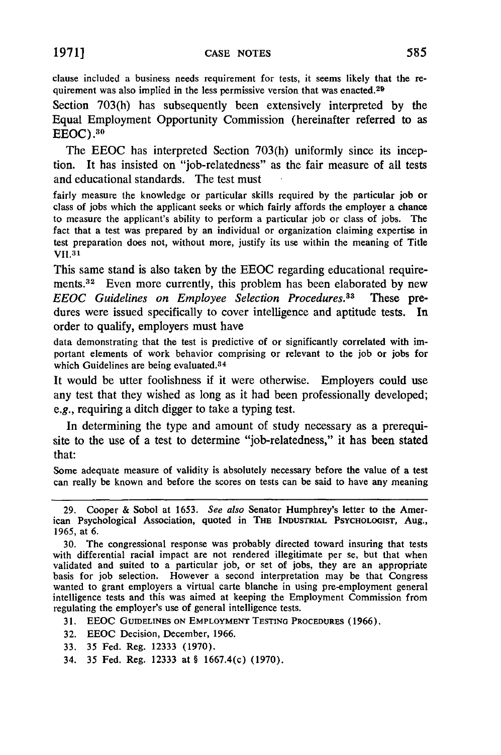clause included a business needs requirement for tests, it seems likely that the requirement was also implied in the less permissive version that was enacted.<sup>29</sup>

Section **703(h)** has subsequently been extensively interpreted **by** the Equal Employment Opportunity Commission (hereinafter referred to as **EEOC) .30**

The **EEOC** has interpreted Section **703(h)** uniformly since its inception. It has insisted on "job-relatedness" as the fair measure of all tests and educational standards. The test must

fairly measure the knowledge or particular skills required **by** the particular **job** or class of jobs which the applicant seeks or which fairly affords the employer a chance to measure the applicant's ability to perform a particular **job** or class of jobs. The fact that a test was prepared **by** an individual or organization claiming expertise in test preparation does not, without more, justify its use within the meaning of Title **VII.31**

This same stand is also taken **by** the **EEOC** regarding educational requirements. 32 Even more currently, this problem has been elaborated **by** new *EEOC Guidelines on Employee Selection Procedures.33* These predures were issued specifically to cover intelligence and aptitude tests. In order to qualify, employers must have

data demonstrating that the test is predictive of or significantly correlated with important elements of work behavior comprising or relevant to the **job** or jobs for which Guidelines are being evaluated.<sup>34</sup>

It would be utter foolishness if it were otherwise. Employers could use any test that they wished as long as it had been professionally developed; e.g., requiring a ditch digger to take a typing test.

In determining the type and amount of study necessary as a prerequisite to the use of a test to determine "job-relatedness," it has been stated that:

Some adequate measure of validity is absolutely necessary before the value of a test can really be known and before the scores on tests can be said to have any meaning

**31.** EEOC **GUIDELINES ON EMPLOYMENT TESTING PROCEDURES** (1966).

- **32. EEOC** Decision, December, 1966.
- **33. 35** Fed. Reg. **12333** (1970).
- 34. **35** Fed. Reg. **12333** at § 1667.4(c) (1970).

<sup>29.</sup> Cooper & Sobol at 1653. *See also* Senator Humphrey's letter to the American Psychological Association, quoted in **THE INDUSTRIAL** PSYCHOLOGIST, Aug., 1965, at 6.

<sup>30.</sup> The congressional response was probably directed toward insuring that tests with differential racial impact are not rendered illegitimate per se, but that when validated and suited to a particular job, or set of jobs, they are an appropriate basis for job selection. However a second interpretation may be that Congress wanted to grant employers a virtual carte blanche in using pre-employment general intelligence tests and this was aimed at keeping the Employment Commission from regulating the employer's use of general intelligence tests.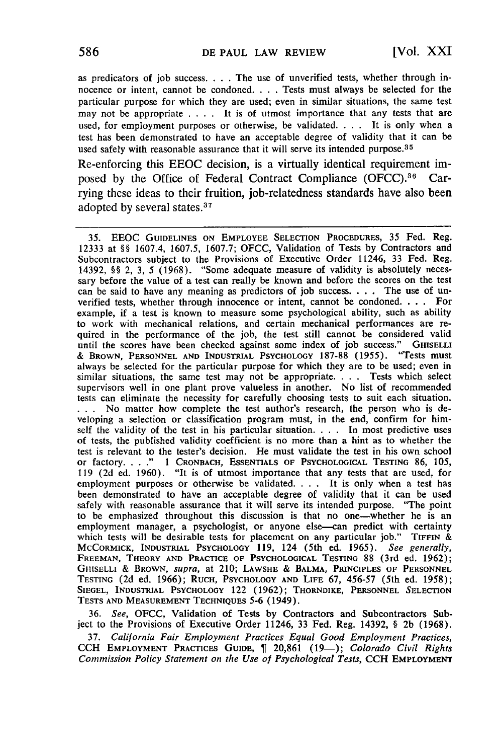as predicators of job success **....** The use of unverified tests, whether through innocence or intent, cannot be condoned. . **.** .Tests must always be selected for the particular purpose for which they are used; even in similar situations, the same test may not be appropriate . **. .** . It is of utmost importance that any tests that are used, for employment purposes or otherwise, be validated. . . . It is only when a test has been demonstrated to have an acceptable degree of validity that it can be used safely with reasonable assurance that it will serve its intended purpose.<sup>35</sup>

Re-enforcing this EEOC decision, is a virtually identical requirement imposed by the Office of Federal Contract Compliance (OFCC).<sup>36</sup> Carrying these ideas to their fruition, job-relatedness standards have also been adopted by several states.<sup>37</sup>

35. EEOC GUIDELINES ON EMPLOYEE SELECTION PROCEDURES, 35 Fed. Reg. 12333 at §§ 1607.4, 1607.5, 1607.7; OFCC, Validation of Tests **by** Contractors and Subcontractors subject to the Provisions of Executive Order 11246, 33 Fed. Reg. 14392, §§ 2, 3, 5 (1968). "Some adequate measure of validity is absolutely necessary before the value of a test can really be known and before the scores on the test can be said to have any meaning as predictors of **job** success. . **.** . The use of unverified tests, whether through innocence or intent, cannot be condoned **. ..** For example, if a test is known to measure some psychological ability, such as ability to work with mechanical relations, and certain mechanical performances are required in the performance of the job, the test still cannot be considered valid until the scores have been checked against some index of job success." GHISELLI & BROWN. PERSONNEL AND INDUSTRIAL PSYCHOLOGY 187-88 (1955). "Tests must & Brown, Personnel and Industrial Psychology 187-88 (1955). always be selected for the particular purpose for which they are to be used; even in similar situations, the same test may not be appropriate. . **.** . Tests which select supervisors well in one plant prove valueless in another. No list of recommended tests can eliminate the necessity for carefully choosing tests to suit each situation. **..** . No matter how complete the test author's research, the person who is developing a selection or classification program must, in the end, confirm for himself the validity of the test in his particular situation. . **.** . In most predictive uses of tests, the published validity coefficient is no more than a hint as to whether the test is relevant to the tester's decision. He must validate the test in his own school or factory .... **."** 1 **CRONBACH, ESSENTIALS OF PSYCHOLOGICAL TESTING 86, 105, 119** (2d ed. 1960). "It is of utmost importance that any tests that are used, for employment purposes or otherwise be validated. . **.** . It is only when a test has been demonstrated to have an acceptable degree of validity that it can be used safely with reasonable assurance that it will serve its intended purpose. "The point to be emphasized throughout this discussion is that no one-whether he is an employment manager, a psychologist, or anyone else—can predict with certainty which tests will be desirable tests for placement on any particular job." TIFFIN & MCCORMICK, INDUSTRIAL PSYCHOLOGY **119,** 124 (5th ed. 1965). *See generally,* **FREEMAN,** THEORY **AND** PRACTICE **OF PSYCHOLOGICAL TESTING** 88 (3rd ed. 1962); **GHISELLI** & BROWN, *supra,* at 210; LAWSHE & **BALMA, PRINCIPLES** OF **PERSONNEL TESTING** (2d ed. 1966); **RUCH,** PSYCHOLOGY **AND LIFE** 67, 456-57 (5th ed. 1958); **SIEGEL, INDUSTRIAL PSYCHOLOGY** 122 (1962); THORNDIKE, **PERSONNEL** SELECTION **TESTS AND MEASUREMENT TECHNIQUES 5-6** (1949).

**36.** *See,* OFCC, Validation of Tests **by** Contractors and Subcontractors Subject to the Provisions of Executive Order 11246, **33** Fed. Reg. 14392, § 2b (1968).

**37.** *California Fair Employment Practices Equal Good Employment Practices,* CCH EMPLOYMENT PRACTICES GUIDE, 20,861 (19-); *Colorado Civil Rights Commission Policy Statement on the Use of Psychological Tests,* CCH **EMPLOYMENT**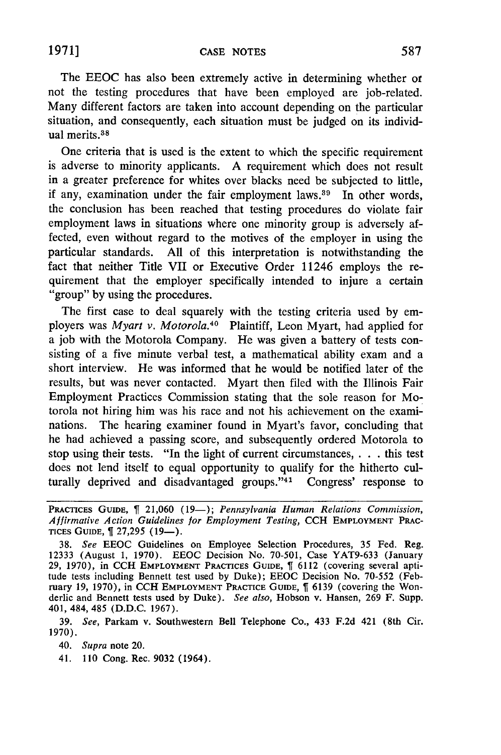The EEOC has also been extremely active in determining whether or not the testing procedures that have been employed are job-related. Many different factors are taken into account depending on the particular situation, and consequently, each situation must be judged on its individual merits. <sup>38</sup>

One criteria that is used is the extent to which the specific requirement is adverse to minority applicants. A requirement which does not result in a greater preference for whites over blacks need be subjected to little, if any, examination under the fair employment laws.<sup>39</sup> In other words, the conclusion has been reached that testing procedures do violate fair employment laws in situations where one minority group is adversely affected, even without regard to the motives of the employer in using the particular standards. All of this interpretation is notwithstanding the fact that neither Title VII or Executive Order 11246 employs the requirement that the employer specifically intended to injure a certain "group" by using the procedures.

The first case to deal squarely with the testing criteria used by employers was *Myart v. Motorola.40* Plaintiff, Leon Myart, had applied for a job with the Motorola Company. He was given a battery of tests consisting of a five minute verbal test, a mathematical ability exam and a short interview. He was informed that he would be notified later of the results, but was never contacted. Myart then filed with the Illinois Fair Employment Practices Commission stating that the sole reason for Motorola not hiring him was his race and not his achievement on the examinations. The hearing examiner found in Myart's favor, concluding that he had achieved a passing score, and subsequently ordered Motorola to stop using their tests. "In the light of current circumstances, **. . .** this test does not lend itself to equal opportunity to qualify for the hitherto culturally deprived and disadvantaged groups."<sup>41</sup> Congress' response to

39. *See,* Parkam v. Southwestern Bell Telephone Co., 433 F.2d 421 (8th Cir. 1970).

40. *Supra* note 20.

41. 110 Cong. Rec. 9032 (1964).

PRACTICES GUIDE,  $\P$  21,060 (19-); *Pennsylvania Human Relations Commission*, *Affirmative Action Guidelines* for *Employment Testing,* CCH EMPLOYMENT **PRAC-**TICES GUIDE,  $\parallel$  27,295 (19-).

<sup>38.</sup> *See* EEOC Guidelines on Employee Selection Procedures, 35 Fed. Reg. 12333 (August 1, 1970). EEOC Decision No. 70-501, Case YAT9-633 (January 29, 1970), in CCH EMPLOYMENT PRACTICES **GUIDE,** 6112 (covering several aptitude tests including Bennett test used **by** Duke); EEOC Decision No. 70-552 (February 19, 1970), in CCH EMPLOYMENT PRACTICE GUIDE,  $\int$  6139 (covering the Wonderlic and Bennett tests used by Duke). *See also,* Hobson v. Hansen, 269 F. Supp. 401, 484, 485 (D.D.C. 1967).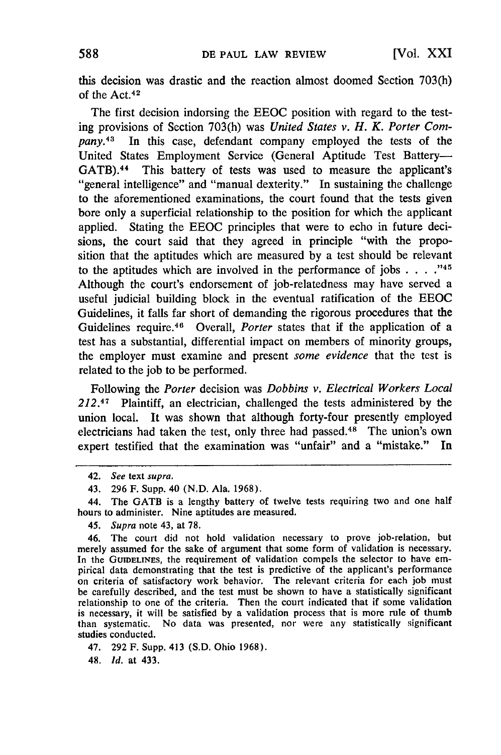this decision was drastic and the reaction almost doomed Section 703(h) of the Act.<sup>42</sup>

The first decision indorsing the EEOC position with regard to the testing provisions of Section 703(h) was *United States v. H. K. Porter Company.<sup>43</sup>*In this case, defendant company employed the tests of the United States Employment Service (General Aptitude Test Battery-GATB).<sup>44</sup> This battery of tests was used to measure the applicant's "general intelligence" and "manual dexterity." In sustaining the challenge to the aforementioned examinations, the court found that the tests given bore only a superficial relationship to the position for which the applicant applied. Stating the EEOC principles that were to echo in future decisions, the court said that they agreed in principle "with the proposition that the aptitudes which are measured by a test should be relevant to the aptitudes which are involved in the performance of jobs  $\ldots$ .<sup>745</sup> Although the court's endorsement of job-relatedness may have served a useful judicial building block in the eventual ratification of the EEOC Guidelines, it falls far short of demanding the rigorous procedures that the Guidelines require.46 Overall, *Porter* states that if the application of a test has a substantial, differential impact on members of minority groups, the employer must examine and present *some evidence* that the test is related to the job to be performed.

Following the *Porter* decision was *Dobbins v. Electrical Workers Local 212.4 <sup>7</sup>*Plaintiff, an electrician, challenged the tests administered by the union local. It was shown that although forty-four presently employed electricians had taken the test, only three had passed. 48 The union's own expert testified that the examination was "unfair" and a "mistake." In

46. The court did not hold validation necessary to prove job-relation, but merely assumed for the sake of argument that some form of validation is necessary. In the **GUIDELINES,** the requirement of validation compels the selector to have empirical data demonstrating that the test is predictive of the applicant's performance on criteria of satisfactory work behavior. The relevant criteria for each job must be carefully described, and the test must be shown to have a statistically significant relationship to one of the criteria. Then the court indicated that if some validation is necessary, it will be satisfied by a validation process that is more rule of thumb than systematic. No data was presented, nor were any statistically significant studies conducted.

47. 292 F. Supp. 413 (S.D. Ohio 1968).

48. *Id.* at 433.

<sup>42.</sup> *See* text *supra.*

<sup>43. 296</sup> F. Supp. 40 (N.D. Ala. 1968).

<sup>44.</sup> The GATB is a lengthy battery of twelve tests requiring two and one half hours to administer. Nine aptitudes are measured.

<sup>45.</sup> *Supra* note 43, at 78.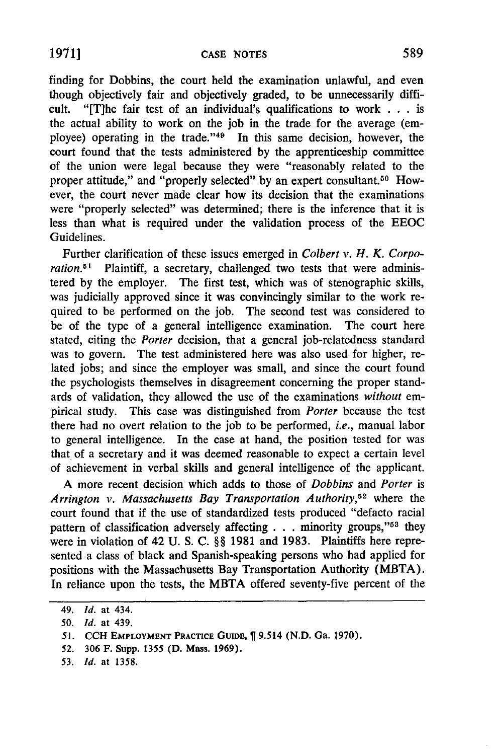finding for Dobbins, the court held the examination unlawful, and even though objectively fair and objectively graded, to be unnecessarily difficult. "[T]he fair test of an individual's qualifications to work . . . is the actual ability to work on the job in the trade for the average (employee) operating in the trade."<sup>49</sup> In this same decision, however, the court found that the tests administered by the apprenticeship committee of the union were legal because they were "reasonably related to the proper attitude," and "properly selected" by an expert consultant.<sup>50</sup> However, the court never made clear how its decision that the examinations were "properly selected" was determined; there is the inference that it is less than what is required under the validation process of the EEOC Guidelines.

Further clarification of these issues emerged in *Colbert v. H. K. Corpo*ration.<sup>51</sup> Plaintiff, a secretary, challenged two tests that were administered by the employer. The first test, which was of stenographic skills, was judicially approved since it was convincingly similar to the work required to be performed on the job. The second test was considered to be of the type of a general intelligence examination. The court here stated, citing the *Porter* decision, that a general job-relatedness standard was to govern. The test administered here was also used for higher, related jobs; and since the employer was small, and since the court found the psychologists themselves in disagreement concerning the proper standards of validation, they allowed the use of the examinations *without* empirical study. This case was distinguished from *Porter* because the test there had no overt relation to the job to be performed, *i.e.,* manual labor to general intelligence. In the case at hand, the position tested for was that of a secretary and it was deemed reasonable to expect a certain level of achievement in verbal skills and general intelligence of the applicant.

A more recent decision which adds to those of *Dobbins* and *Porter* is *Arrington v. Massachusetts Bay Transportation Authority,52* where the court found that if the use of standardized tests produced "defacto racial pattern of classification adversely affecting  $\ldots$  minority groups,"<sup>53</sup> they were in violation of 42 U. S. C. §§ 1981 and 1983. Plaintiffs here represented a class of black and Spanish-speaking persons who had applied for positions with the Massachusetts Bay Transportation Authority (MBTA). In reliance upon the tests, the MBTA offered seventy-five percent of the

**53.** *Id.* at **1358.**

<sup>49.</sup> *Id.* at 434.

*<sup>50.</sup> Id.* at 439.

**<sup>51.</sup> CCH EMPLOYMENT PRACTICE GuIDE, 9.514 (N.D. Ga. 1970).**

<sup>52.</sup> **306 F.** Supp. **1355 (D. Mass. 1969).**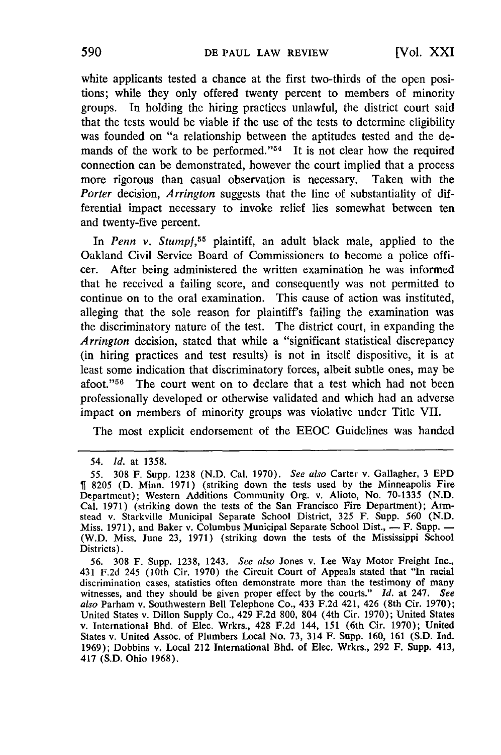white applicants tested a chance at the first two-thirds of the open positions; while they only offered twenty percent to members of minority groups. In holding the hiring practices unlawful, the district court said that the tests would be viable if the use of the tests to determine eligibility was founded on "a relationship between the aptitudes tested and the demands of the work to be performed. $1/54$  It is not clear how the required connection can be demonstrated, however the court implied that a process more rigorous than casual observation is necessary. Taken with the *Porter* decision, *Arrington* suggests that the line of substantiality of differential impact necessary to invoke relief lies somewhat between ten and twenty-five percent.

In *Penn v. Stumpf,55* plaintiff, an adult black male, applied to the Oakland Civil Service Board of Commissioners to become a police officer. After being administered the written examination he was informed that he received a failing score, and consequently was not permitted to continue on to the oral examination. This cause of action was instituted, alleging that the sole reason for plaintiff's failing the examination was the discriminatory nature of the test. The district court, in expanding the *Arrington* decision, stated that while a "significant statistical discrepancy (in hiring practices and test results) is not in itself dispositive, it is at least some indication that discriminatory forces, albeit subtle ones, may be afoot." $56$  The court went on to declare that a test which had not been professionally developed or otherwise validated and which had an adverse impact on members of minority groups was violative under Title VII.

The most explicit endorsement of the EEOC Guidelines was handed

56. 308 F. Supp. 1238, 1243. *See also* Jones v. Lee Way Motor Freight Inc., 431 F.2d 245 (10th Cir. 1970) the Circuit Court of Appeals stated that "In racial discrimination cases, statistics often demonstrate more than the testimony of many witnesses, and they should be given proper effect by the courts." *Id.* at 247. *See also* Parham v. Southwestern Bell Telephone Co., 433 F.2d 421, 426 (8th Cir. 1970); United States v. Dillon Supply Co., 429 F.2d 800, 804 (4th Cir. 1970); United States v. International Bhd. of Elec. Wrkrs., 428 F.2d 144, 151 (6th Cir. 1970); United States v. United Assoc. of Plumbers Local No. 73, 314 F. Supp. 160, 161 (S.D. Ind. 1969); Dobbins v. Local 212 International Bhd. of Elec. Wrkrs., 292 F. Supp. 413, 417 (S.D. Ohio 1968).

<sup>54.</sup> *Id.* at 1358.

<sup>55. 308</sup> F. Supp. 1238 (N.D. Cal. 1970). *See also* Carter v. Gallagher, 3 EPD 8205 (D. Minn. 1971) (striking down the tests used by the Minneapolis Fire Department); Western Additions Community Org. v. Alioto, No. 70-1335 (N.D. Cal. 1971) (striking down the tests of the San Francisco Fire Department); Armstead v. Starkville Municipal Separate School District, 325 F. Supp. 560 (N.D. Miss. 1971), and Baker v. Columbus Municipal Separate School Dist., - F. Supp. -(W.D. Miss. June 23, 1971) (striking down the tests of the Mississippi School Districts).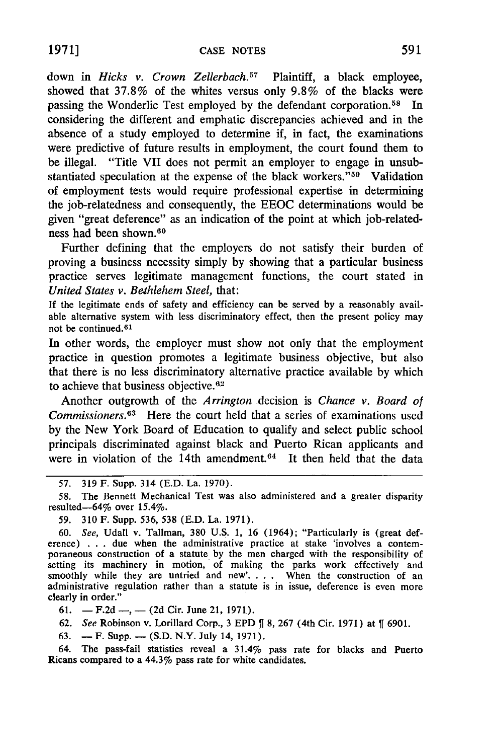**1971]**

down in *Hicks v. Crown Zellerbach.57* Plaintiff, a black employee, showed that 37.8% of the whites versus only 9.8% of the blacks were passing the Wonderlic Test employed by the defendant corporation.<sup>58</sup> In considering the different and emphatic discrepancies achieved and in the absence of a study employed to determine if, in fact, the examinations were predictive of future results in employment, the court found them to be illegal. "Title VII does not permit an employer to engage in unsubstantiated speculation at the expense of the black workers."<sup>59</sup> Validation of employment tests would require professional expertise in determining the job-relatedness and consequently, the EEOC determinations would be given "great deference" as an indication of the point at which job-relatedness had been shown. <sup>60</sup>

Further defining that the employers do not satisfy their burden of proving a business necessity simply by showing that a particular business practice serves legitimate management functions, the court stated in *United States v. Bethlehem Steel,* that:

**If** the legitimate ends of safety and efficiency can be served by a reasonably available alternative system with less discriminatory effect, then the present policy may not be continued. <sup>61</sup>

In other words, the employer must show not only that the employment practice in question promotes a legitimate business objective, but also that there is no less discriminatory alternative practice available by which to achieve that business objective. $62$ 

Another outgrowth of the *Arrington* decision is *Chance v. Board* of Commissioners.<sup>63</sup> Here the court held that a series of examinations used by the New York Board of Education to qualify and select public school principals discriminated against black and Puerto Rican applicants and were in violation of the 14th amendment.<sup>64</sup> It then held that the data

59. 310 F. Supp. 536, 538 (E.D. La. 1971).

61.  $-F.2d$ ,  $-$  (2d Cir. June 21, 1971).

62. *See* Robinson v. Lorillard Corp., 3 EPD  $\parallel$  8, 267 (4th Cir. 1971) at  $\parallel$  6901.

63.  $- F. Supp. - (S.D. N.Y. July 14, 1971).$ 

64. The pass-fail statistics reveal a 31.4% pass rate for blacks and Puerto Ricans compared to a 44.3% pass rate for white candidates.

<sup>57.</sup> **319** F. Supp. 314 **(E.D.** La. **1970).**

<sup>58.</sup> The Bennett Mechanical Test was also administered and a greater disparity resulted-64% over 15.4%.

**<sup>60.</sup>** *See,* Udall v. Tallman, 380 U.S. **1,** 16 (1964); "Particularly is (great deference) . **.** . due when the administrative practice at stake 'involves a contemporaneous construction of a statute by the men charged with the responsibility of setting its machinery in motion, of making the parks work effectively and smoothly while they are untried and new'. **. .** . When the construction of an administrative regulation rather than a statute is in issue, deference is even more clearly in order."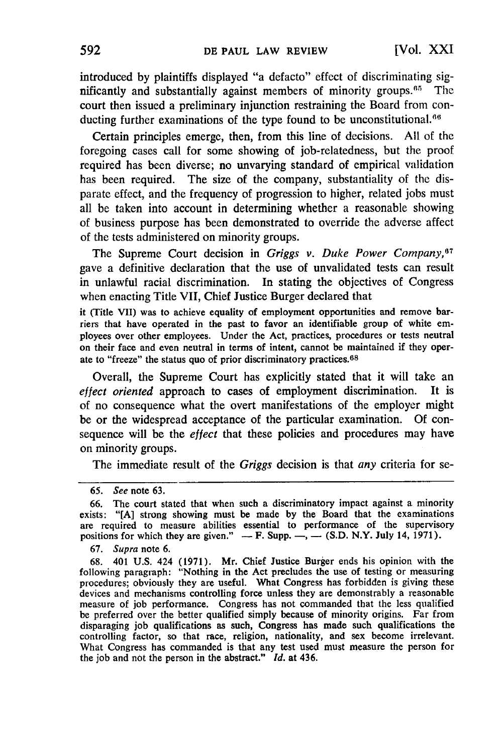introduced by plaintiffs displayed "a defacto" effect of discriminating significantly and substantially against members of minority groups. $65$  The court then issued a preliminary injunction restraining the Board from conducting further examinations of the type found to be unconstitutional. $66$ 

Certain principles emerge, then, from this line of decisions. All of the foregoing cases call for some showing of job-relatedness, but the proof required has been diverse; no unvarying standard of empirical validation has been required. The size of the company, substantiality of the disparate effect, and the frequency of progression to higher, related jobs must all be taken into account in determining whether a reasonable showing of business purpose has been demonstrated to override the adverse affect of the tests administered on minority groups.

The Supreme Court decision in *Griggs v. Duke Power Company,<sup>7</sup>* gave a definitive declaration that the use of unvalidated tests can result in unlawful racial discrimination. In stating the objectives of Congress when enacting Title VII, Chief Justice Burger declared that

it (Title VII) was to achieve equality of employment opportunities and remove barriers that have operated in the past to favor an identifiable group of white employees over other employees. Under the Act, practices, procedures or tests neutral on their face and even neutral in terms of intent, cannot be maintained if they operate to "freeze" the status quo of prior discriminatory practices.<sup>68</sup>

Overall, the Supreme Court has explicitly stated that it will take an effect *oriented* approach to cases of employment discrimination. It is of no consequence what the overt manifestations of the employer might be or the widespread acceptance of the particular examination. Of consequence will be the *effect* that these policies and procedures may have on minority groups.

The immediate result of the *Griggs* decision is that *any* criteria for se-

67. Supra note 6.

<sup>65.</sup> See note 63.

<sup>66.</sup> The court stated that when such a discriminatory impact against a minority exists: "[A] strong showing must be made by the Board that the examinations are required to measure abilities essential to performance of the supervisory positions for which they are given."  $-F$ . Supp.  $\overline{P}$ ,  $\overline{P}$ . (S.D. N.Y. July 14, 1971).

<sup>68. 401</sup> U.S. 424 (1971). Mr. Chief Justice Burger ends his opinion with the following paragraph: "Nothing in the Act precludes the use of testing or measuring procedures; obviously they are useful. What Congress has forbidden is giving these devices and mechanisms controlling force unless they are demonstrably a reasonable measure of job performance. Congress has not commanded that the less qualified be preferred over the better qualified simply because of minority origins. Far from disparaging job qualifications as such, Congress has made such qualifications the controlling factor, so that race, religion, nationality, and sex become irrelevant. What Congress has commanded is that any test used must measure the person for the job and not the person in the abstract." *Id.* at 436.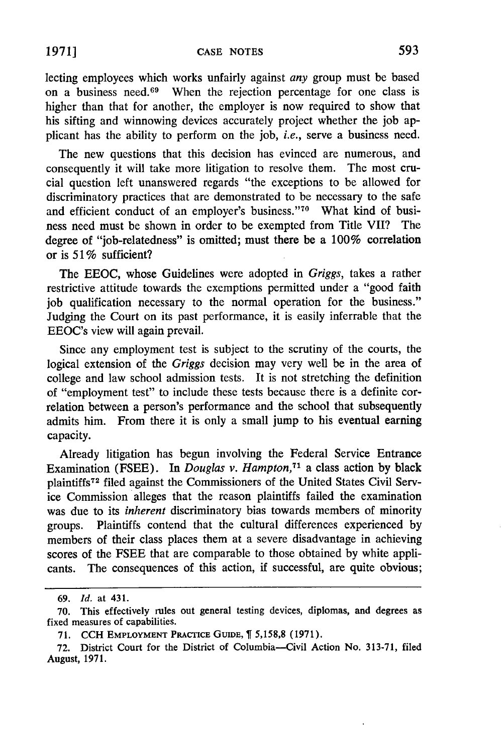lecting employees which works unfairly against *any* group must be based on a business need.69 When the rejection percentage for one class is higher than that for another, the employer is now required to show that his sifting and winnowing devices accurately project whether the job applicant has the ability to perform on the job, *i.e.,* serve a business need.

The new questions that this decision has evinced are numerous, and consequently it will take more litigation to resolve them. The most crucial question left unanswered regards "the exceptions to be allowed for discriminatory practices that are demonstrated to be necessary to the safe and efficient conduct of an employer's business."70 What kind of business need must be shown in order to be exempted from Title VII? The degree of "job-relatedness" is omitted; must there be a 100% correlation or is *51* % sufficient?

The EEOC, whose Guidelines were adopted in *Griggs,* takes a rather restrictive attitude towards the exemptions permitted under a "good faith job qualification necessary to the normal operation for the business." Judging the Court on its past performance, it is easily inferrable that the EEOC's view will again prevail.

Since any employment test is subject to the scrutiny of the courts, the logical extension of the *Griggs* decision may very well be in the area of college and law school admission tests. It is not stretching the definition of "employment test" to include these tests because there is a definite correlation between a person's performance and the school that subsequently admits him. From there it is only a small jump to his eventual earning capacity.

Already litigation has begun involving the Federal Service Entrance Examination (FSEE). In *Douglas v. Hampton,71* a class action by black plaintiffs72 filed against the Commissioners of the United States Civil Service Commission alleges that the reason plaintiffs failed the examination was due to its *inherent* discriminatory bias towards members of minority groups. Plaintiffs contend that the cultural differences experienced by members of their class places them at a severe disadvantage in achieving scores of the FSEE that are comparable to those obtained by white applicants. The consequences of this action, if successful, are quite obvious;

**<sup>69.</sup>** *Id.* at 431.

<sup>70.</sup> This effectively rules out general testing devices, diplomas, and degrees as fixed measures of capabilities.

**<sup>71.</sup>** CCH EMPLOYMENT PRAcTICE GUIDE, 5,158,8 **(1971).**

**<sup>72.</sup>** District Court for the District of Columbia-Civil Action No. **313-71,** filed August, 1971.